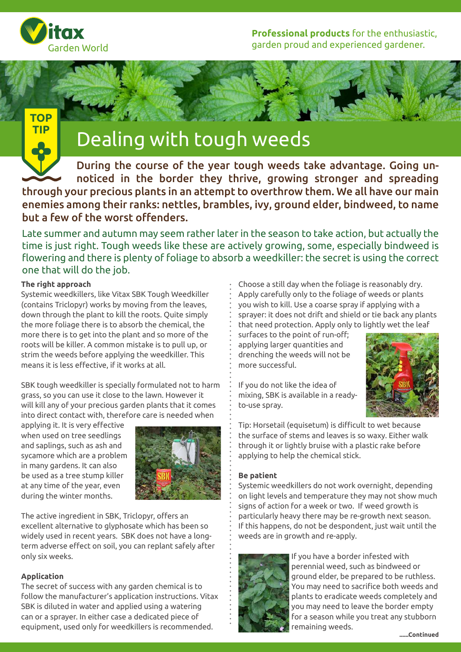

#### **Professional products** for the enthusiastic, garden proud and experienced gardener.

**TOP**

# **TIP** Dealing with tough weeds

During the course of the year tough weeds take advantage. Going unnoticed in the border they thrive, growing stronger and spreading through your precious plants in an attempt to overthrow them. We all have our main enemies among their ranks: nettles, brambles, ivy, ground elder, bindweed, to name but a few of the worst offenders.

Late summer and autumn may seem rather later in the season to take action, but actually the time is just right. Tough weeds like these are actively growing, some, especially bindweed is flowering and there is plenty of foliage to absorb a weedkiller: the secret is using the correct one that will do the job.

#### **The right approach**

Systemic weedkillers, like Vitax SBK Tough Weedkiller (contains Triclopyr) works by moving from the leaves, down through the plant to kill the roots. Quite simply the more foliage there is to absorb the chemical, the more there is to get into the plant and so more of the roots will be killer. A common mistake is to pull up, or strim the weeds before applying the weedkiller. This means it is less effective, if it works at all.

SBK tough weedkiller is specially formulated not to harm grass, so you can use it close to the lawn. However it will kill any of your precious garden plants that it comes into direct contact with, therefore care is needed when

applying it. It is very effective when used on tree seedlings and saplings, such as ash and sycamore which are a problem in many gardens. It can also be used as a tree stump killer at any time of the year, even during the winter months.



The active ingredient in SBK, Triclopyr, offers an excellent alternative to glyphosate which has been so widely used in recent years. SBK does not have a longterm adverse effect on soil, you can replant safely after only six weeks.

#### **Application**

The secret of success with any garden chemical is to follow the manufacturer's application instructions. Vitax SBK is diluted in water and applied using a watering can or a sprayer. In either case a dedicated piece of equipment, used only for weedkillers is recommended.

Choose a still day when the foliage is reasonably dry. Apply carefully only to the foliage of weeds or plants you wish to kill. Use a coarse spray if applying with a sprayer: it does not drift and shield or tie back any plants that need protection. Apply only to lightly wet the leaf

surfaces to the point of run-off; applying larger quantities and drenching the weeds will not be more successful.

If you do not like the idea of mixing, SBK is available in a readyto-use spray.



Tip: Horsetail (equisetum) is difficult to wet because the surface of stems and leaves is so waxy. Either walk through it or lightly bruise with a plastic rake before applying to help the chemical stick.

#### **Be patient**

Systemic weedkillers do not work overnight, depending on light levels and temperature they may not show much signs of action for a week or two. If weed growth is particularly heavy there may be re-growth next season. If this happens, do not be despondent, just wait until the weeds are in growth and re-apply.



If you have a border infested with perennial weed, such as bindweed or ground elder, be prepared to be ruthless. You may need to sacrifice both weeds and plants to eradicate weeds completely and you may need to leave the border empty for a season while you treat any stubborn remaining weeds.